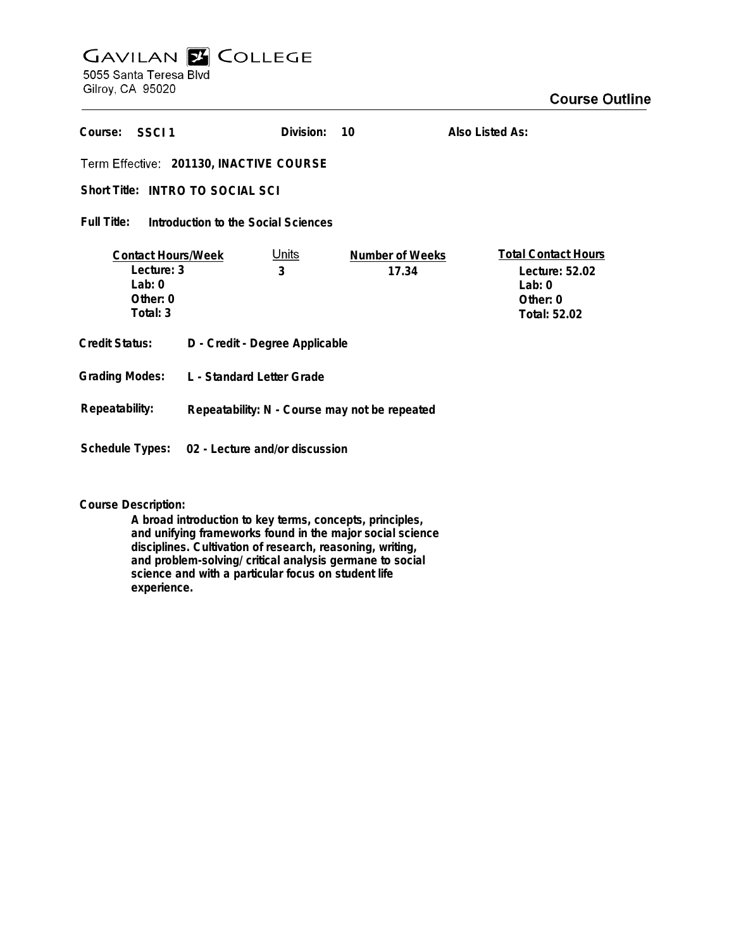# **GAVILAN E COLLEGE** 5055 Santa Teresa Blvd

Gilroy, CA 95020

| Course:<br>-SSCL1                                                           |                                                | Division:         | 10                              | Also Listed As:                                                                      |
|-----------------------------------------------------------------------------|------------------------------------------------|-------------------|---------------------------------|--------------------------------------------------------------------------------------|
| Term Effective: 201130, INACTIVE COURSE                                     |                                                |                   |                                 |                                                                                      |
| Short Title: INTRO TO SOCIAL SCI                                            |                                                |                   |                                 |                                                                                      |
| Full Title:<br>Introduction to the Social Sciences                          |                                                |                   |                                 |                                                                                      |
| <b>Contact Hours/Week</b><br>Lecture: 3<br>Lab: $0$<br>Other: 0<br>Total: 3 |                                                | <u>Units</u><br>3 | <b>Number of Weeks</b><br>17.34 | <b>Total Contact Hours</b><br>Lecture: 52.02<br>Lab: $0$<br>Other: 0<br>Total: 52.02 |
| <b>Credit Status:</b>                                                       | D - Credit - Degree Applicable                 |                   |                                 |                                                                                      |
| <b>Grading Modes:</b>                                                       | L - Standard Letter Grade                      |                   |                                 |                                                                                      |
| Repeatability:                                                              | Repeatability: N - Course may not be repeated  |                   |                                 |                                                                                      |
|                                                                             | Schedule Types: 02 - Lecture and/or discussion |                   |                                 |                                                                                      |

**Course Description:**

**A broad introduction to key terms, concepts, principles, and unifying frameworks found in the major social science disciplines. Cultivation of research, reasoning, writing, and problem-solving/ critical analysis germane to social science and with a particular focus on student life experience.**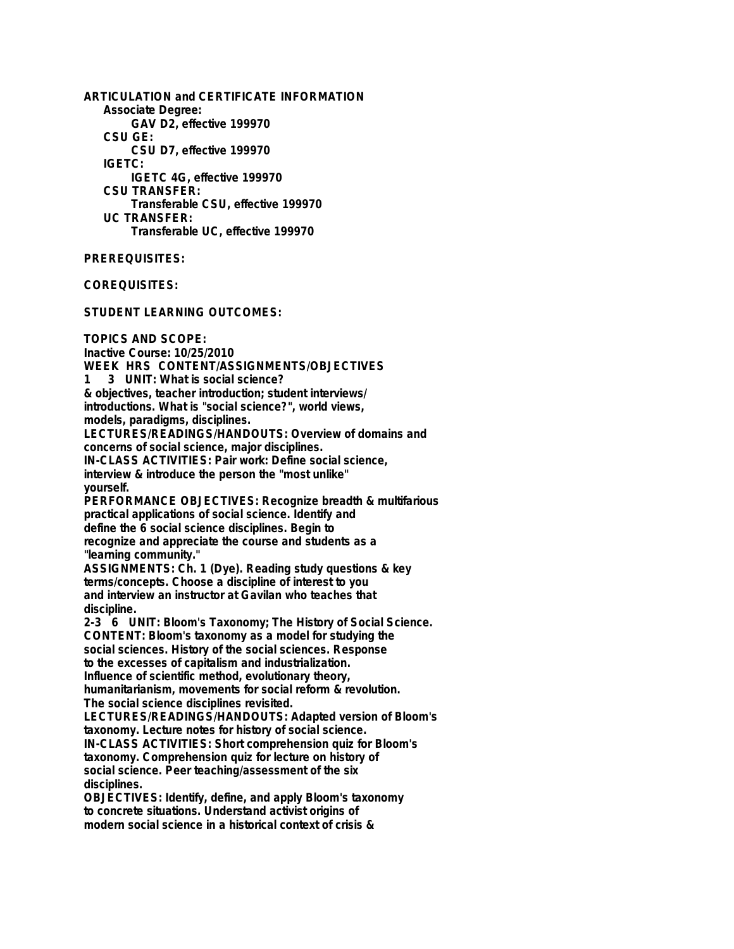**ARTICULATION and CERTIFICATE INFORMATION Associate Degree: GAV D2, effective 199970 CSU GE: CSU D7, effective 199970 IGETC: IGETC 4G, effective 199970 CSU TRANSFER: Transferable CSU, effective 199970 UC TRANSFER: Transferable UC, effective 199970**

## **PREREQUISITES:**

**COREQUISITES:**

**STUDENT LEARNING OUTCOMES:**

**TOPICS AND SCOPE: Inactive Course: 10/25/2010 WEEK HRS CONTENT/ASSIGNMENTS/OBJECTIVES 1 3 UNIT: What is social science? & objectives, teacher introduction; student interviews/ introductions. What is "social science?", world views, models, paradigms, disciplines. LECTURES/READINGS/HANDOUTS: Overview of domains and concerns of social science, major disciplines. IN-CLASS ACTIVITIES: Pair work: Define social science, interview & introduce the person the "most unlike" yourself. PERFORMANCE OBJECTIVES: Recognize breadth & multifarious practical applications of social science. Identify and define the 6 social science disciplines. Begin to recognize and appreciate the course and students as a "learning community." ASSIGNMENTS: Ch. 1 (Dye). Reading study questions & key terms/concepts. Choose a discipline of interest to you and interview an instructor at Gavilan who teaches that discipline. 2-3 6 UNIT: Bloom's Taxonomy; The History of Social Science. CONTENT: Bloom's taxonomy as a model for studying the social sciences. History of the social sciences. Response to the excesses of capitalism and industrialization. Influence of scientific method, evolutionary theory, humanitarianism, movements for social reform & revolution. The social science disciplines revisited. LECTURES/READINGS/HANDOUTS: Adapted version of Bloom's taxonomy. Lecture notes for history of social science. IN-CLASS ACTIVITIES: Short comprehension quiz for Bloom's taxonomy. Comprehension quiz for lecture on history of social science. Peer teaching/assessment of the six disciplines. OBJECTIVES: Identify, define, and apply Bloom's taxonomy to concrete situations. Understand activist origins of**

**modern social science in a historical context of crisis &**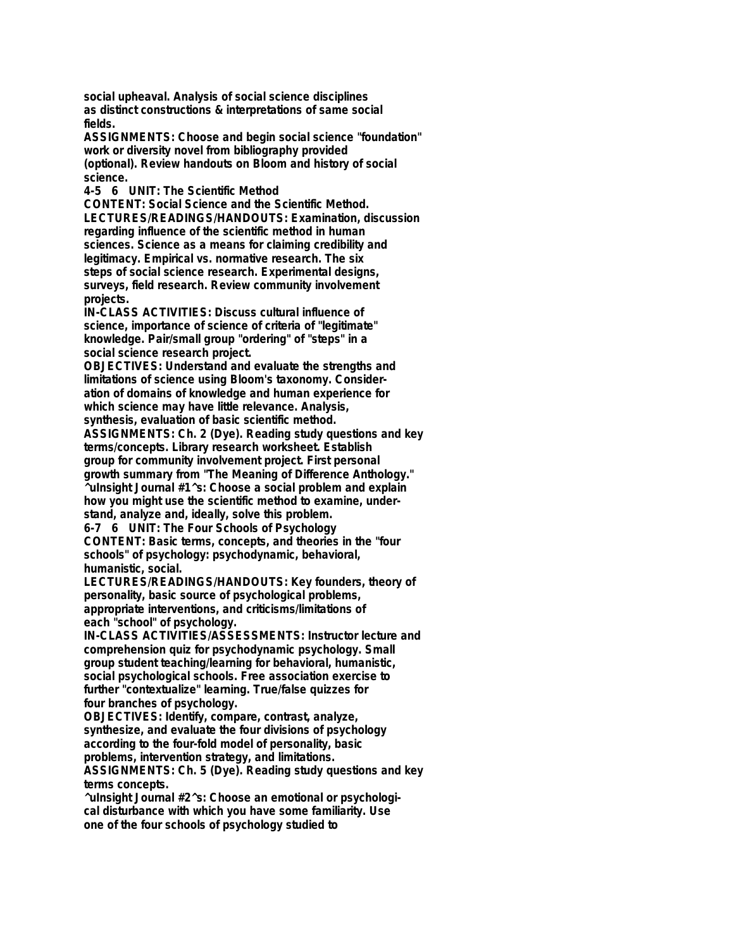**social upheaval. Analysis of social science disciplines as distinct constructions & interpretations of same social fields.**

**ASSIGNMENTS: Choose and begin social science "foundation" work or diversity novel from bibliography provided (optional). Review handouts on Bloom and history of social science.**

**4-5 6 UNIT: The Scientific Method**

**CONTENT: Social Science and the Scientific Method. LECTURES/READINGS/HANDOUTS: Examination, discussion regarding influence of the scientific method in human sciences. Science as a means for claiming credibility and legitimacy. Empirical vs. normative research. The six steps of social science research. Experimental designs, surveys, field research. Review community involvement projects.**

**IN-CLASS ACTIVITIES: Discuss cultural influence of science, importance of science of criteria of "legitimate" knowledge. Pair/small group "ordering" of "steps" in a social science research project.**

**OBJECTIVES: Understand and evaluate the strengths and limitations of science using Bloom's taxonomy. Consideration of domains of knowledge and human experience for which science may have little relevance. Analysis,**

**synthesis, evaluation of basic scientific method.**

**ASSIGNMENTS: Ch. 2 (Dye). Reading study questions and key terms/concepts. Library research worksheet. Establish group for community involvement project. First personal growth summary from "The Meaning of Difference Anthology." ^uInsight Journal #1^s: Choose a social problem and explain how you might use the scientific method to examine, understand, analyze and, ideally, solve this problem.**

**6-7 6 UNIT: The Four Schools of Psychology CONTENT: Basic terms, concepts, and theories in the "four schools" of psychology: psychodynamic, behavioral, humanistic, social.**

**LECTURES/READINGS/HANDOUTS: Key founders, theory of personality, basic source of psychological problems, appropriate interventions, and criticisms/limitations of each "school" of psychology.**

**IN-CLASS ACTIVITIES/ASSESSMENTS: Instructor lecture and comprehension quiz for psychodynamic psychology. Small group student teaching/learning for behavioral, humanistic, social psychological schools. Free association exercise to further "contextualize" learning. True/false quizzes for four branches of psychology.**

**OBJECTIVES: Identify, compare, contrast, analyze, synthesize, and evaluate the four divisions of psychology according to the four-fold model of personality, basic problems, intervention strategy, and limitations. ASSIGNMENTS: Ch. 5 (Dye). Reading study questions and key**

**terms concepts.**

**^uInsight Journal #2^s: Choose an emotional or psychological disturbance with which you have some familiarity. Use one of the four schools of psychology studied to**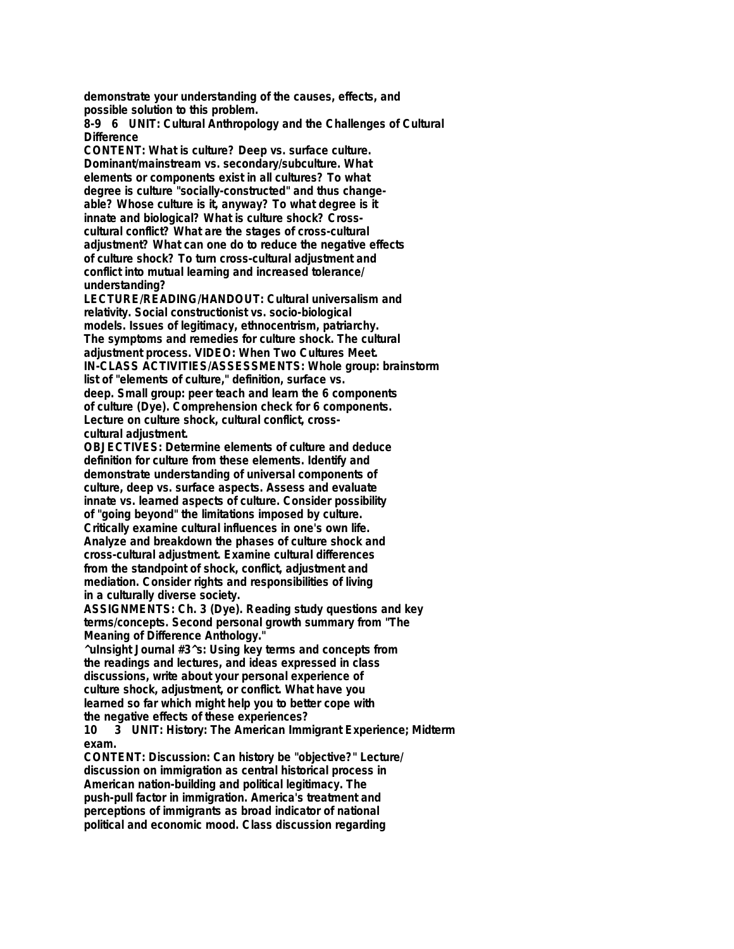**demonstrate your understanding of the causes, effects, and possible solution to this problem.**

**8-9 6 UNIT: Cultural Anthropology and the Challenges of Cultural Difference**

**CONTENT: What is culture? Deep vs. surface culture. Dominant/mainstream vs. secondary/subculture. What elements or components exist in all cultures? To what degree is culture "socially-constructed" and thus changeable? Whose culture is it, anyway? To what degree is it innate and biological? What is culture shock? Crosscultural conflict? What are the stages of cross-cultural adjustment? What can one do to reduce the negative effects of culture shock? To turn cross-cultural adjustment and conflict into mutual learning and increased tolerance/ understanding?**

**LECTURE/READING/HANDOUT: Cultural universalism and relativity. Social constructionist vs. socio-biological models. Issues of legitimacy, ethnocentrism, patriarchy. The symptoms and remedies for culture shock. The cultural adjustment process. VIDEO: When Two Cultures Meet. IN-CLASS ACTIVITIES/ASSESSMENTS: Whole group: brainstorm list of "elements of culture," definition, surface vs. deep. Small group: peer teach and learn the 6 components of culture (Dye). Comprehension check for 6 components. Lecture on culture shock, cultural conflict, crosscultural adjustment.**

**OBJECTIVES: Determine elements of culture and deduce definition for culture from these elements. Identify and demonstrate understanding of universal components of culture, deep vs. surface aspects. Assess and evaluate innate vs. learned aspects of culture. Consider possibility of "going beyond" the limitations imposed by culture. Critically examine cultural influences in one's own life. Analyze and breakdown the phases of culture shock and cross-cultural adjustment. Examine cultural differences from the standpoint of shock, conflict, adjustment and mediation. Consider rights and responsibilities of living in a culturally diverse society.**

**ASSIGNMENTS: Ch. 3 (Dye). Reading study questions and key terms/concepts. Second personal growth summary from "The Meaning of Difference Anthology."**

**^uInsight Journal #3^s: Using key terms and concepts from the readings and lectures, and ideas expressed in class discussions, write about your personal experience of culture shock, adjustment, or conflict. What have you learned so far which might help you to better cope with the negative effects of these experiences?**

**10 3 UNIT: History: The American Immigrant Experience; Midterm exam.**

**CONTENT: Discussion: Can history be "objective?" Lecture/ discussion on immigration as central historical process in American nation-building and political legitimacy. The push-pull factor in immigration. America's treatment and perceptions of immigrants as broad indicator of national political and economic mood. Class discussion regarding**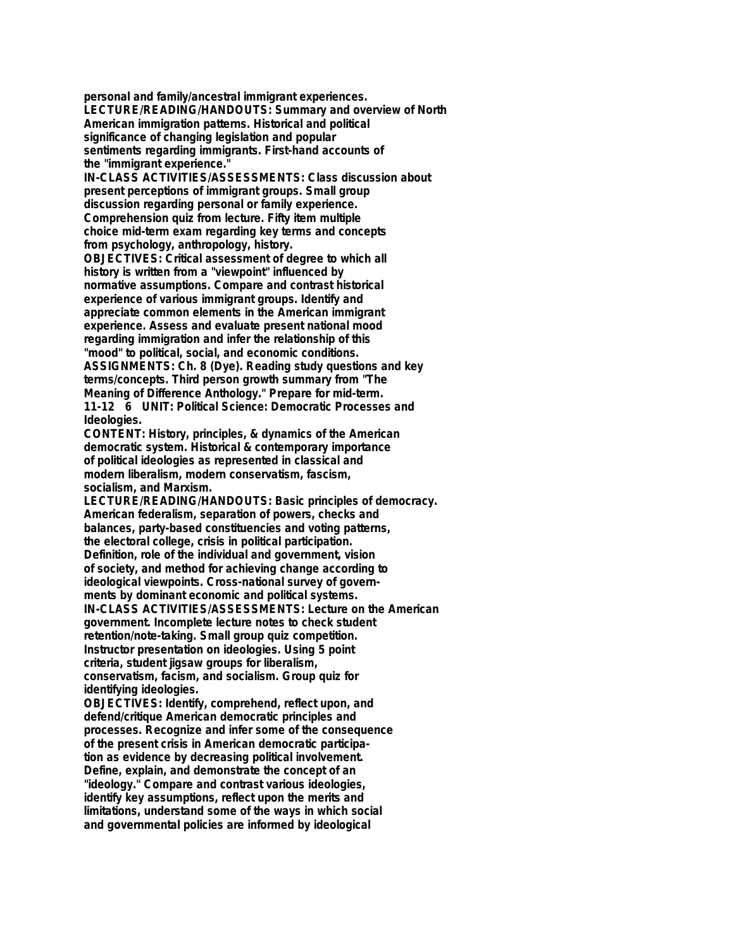**personal and family/ancestral immigrant experiences. LECTURE/READING/HANDOUTS: Summary and overview of North American immigration patterns. Historical and political significance of changing legislation and popular sentiments regarding immigrants. First-hand accounts of the "immigrant experience."**

**IN-CLASS ACTIVITIES/ASSESSMENTS: Class discussion about present perceptions of immigrant groups. Small group discussion regarding personal or family experience. Comprehension quiz from lecture. Fifty item multiple choice mid-term exam regarding key terms and concepts from psychology, anthropology, history. OBJECTIVES: Critical assessment of degree to which all**

**history is written from a "viewpoint" influenced by normative assumptions. Compare and contrast historical experience of various immigrant groups. Identify and appreciate common elements in the American immigrant experience. Assess and evaluate present national mood regarding immigration and infer the relationship of this "mood" to political, social, and economic conditions. ASSIGNMENTS: Ch. 8 (Dye). Reading study questions and key terms/concepts. Third person growth summary from "The Meaning of Difference Anthology." Prepare for mid-term. 11-12 6 UNIT: Political Science: Democratic Processes and Ideologies.**

**CONTENT: History, principles, & dynamics of the American democratic system. Historical & contemporary importance of political ideologies as represented in classical and modern liberalism, modern conservatism, fascism, socialism, and Marxism.**

**LECTURE/READING/HANDOUTS: Basic principles of democracy. American federalism, separation of powers, checks and balances, party-based constituencies and voting patterns, the electoral college, crisis in political participation. Definition, role of the individual and government, vision of society, and method for achieving change according to ideological viewpoints. Cross-national survey of governments by dominant economic and political systems. IN-CLASS ACTIVITIES/ASSESSMENTS: Lecture on the American government. Incomplete lecture notes to check student retention/note-taking. Small group quiz competition. Instructor presentation on ideologies. Using 5 point criteria, student jigsaw groups for liberalism, conservatism, facism, and socialism. Group quiz for identifying ideologies.**

**OBJECTIVES: Identify, comprehend, reflect upon, and defend/critique American democratic principles and processes. Recognize and infer some of the consequence of the present crisis in American democratic participation as evidence by decreasing political involvement. Define, explain, and demonstrate the concept of an "ideology." Compare and contrast various ideologies, identify key assumptions, reflect upon the merits and limitations, understand some of the ways in which social and governmental policies are informed by ideological**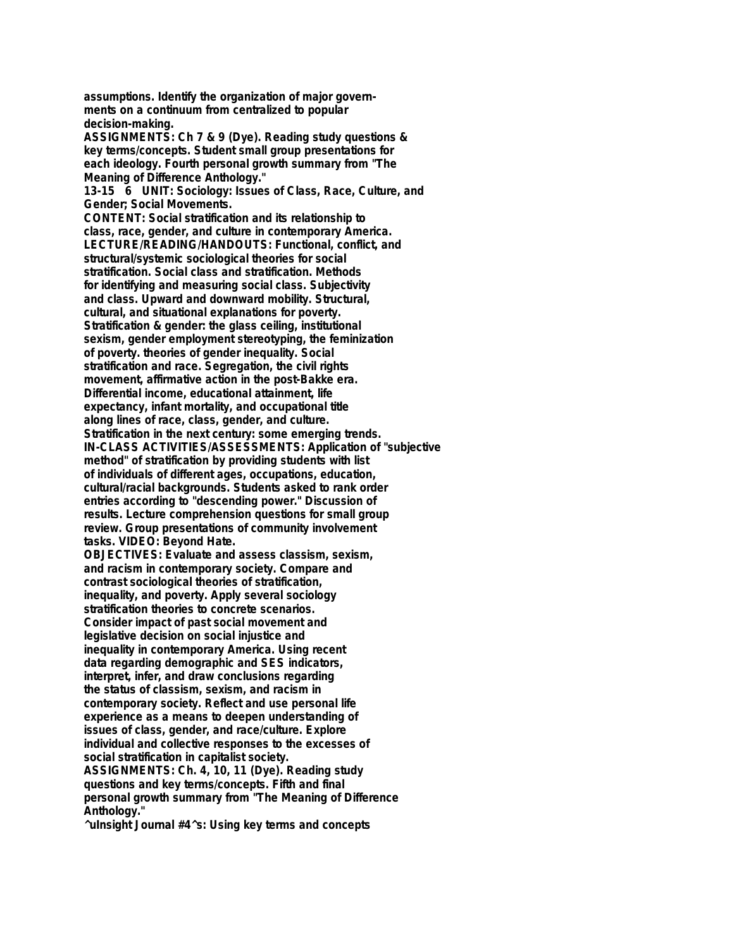**assumptions. Identify the organization of major governments on a continuum from centralized to popular decision-making.**

**ASSIGNMENTS: Ch 7 & 9 (Dye). Reading study questions & key terms/concepts. Student small group presentations for each ideology. Fourth personal growth summary from "The Meaning of Difference Anthology."**

**13-15 6 UNIT: Sociology: Issues of Class, Race, Culture, and Gender; Social Movements.**

**CONTENT: Social stratification and its relationship to class, race, gender, and culture in contemporary America. LECTURE/READING/HANDOUTS: Functional, conflict, and structural/systemic sociological theories for social stratification. Social class and stratification. Methods for identifying and measuring social class. Subjectivity and class. Upward and downward mobility. Structural, cultural, and situational explanations for poverty. Stratification & gender: the glass ceiling, institutional sexism, gender employment stereotyping, the feminization of poverty. theories of gender inequality. Social stratification and race. Segregation, the civil rights movement, affirmative action in the post-Bakke era. Differential income, educational attainment, life expectancy, infant mortality, and occupational title along lines of race, class, gender, and culture. Stratification in the next century: some emerging trends. IN-CLASS ACTIVITIES/ASSESSMENTS: Application of "subjective method" of stratification by providing students with list of individuals of different ages, occupations, education, cultural/racial backgrounds. Students asked to rank order entries according to "descending power." Discussion of results. Lecture comprehension questions for small group review. Group presentations of community involvement tasks. VIDEO: Beyond Hate. OBJECTIVES: Evaluate and assess classism, sexism, and racism in contemporary society. Compare and contrast sociological theories of stratification, inequality, and poverty. Apply several sociology stratification theories to concrete scenarios. Consider impact of past social movement and legislative decision on social injustice and inequality in contemporary America. Using recent data regarding demographic and SES indicators,**

**interpret, infer, and draw conclusions regarding the status of classism, sexism, and racism in contemporary society. Reflect and use personal life experience as a means to deepen understanding of issues of class, gender, and race/culture. Explore individual and collective responses to the excesses of social stratification in capitalist society.**

**ASSIGNMENTS: Ch. 4, 10, 11 (Dye). Reading study questions and key terms/concepts. Fifth and final personal growth summary from "The Meaning of Difference Anthology."**

**^uInsight Journal #4^s: Using key terms and concepts**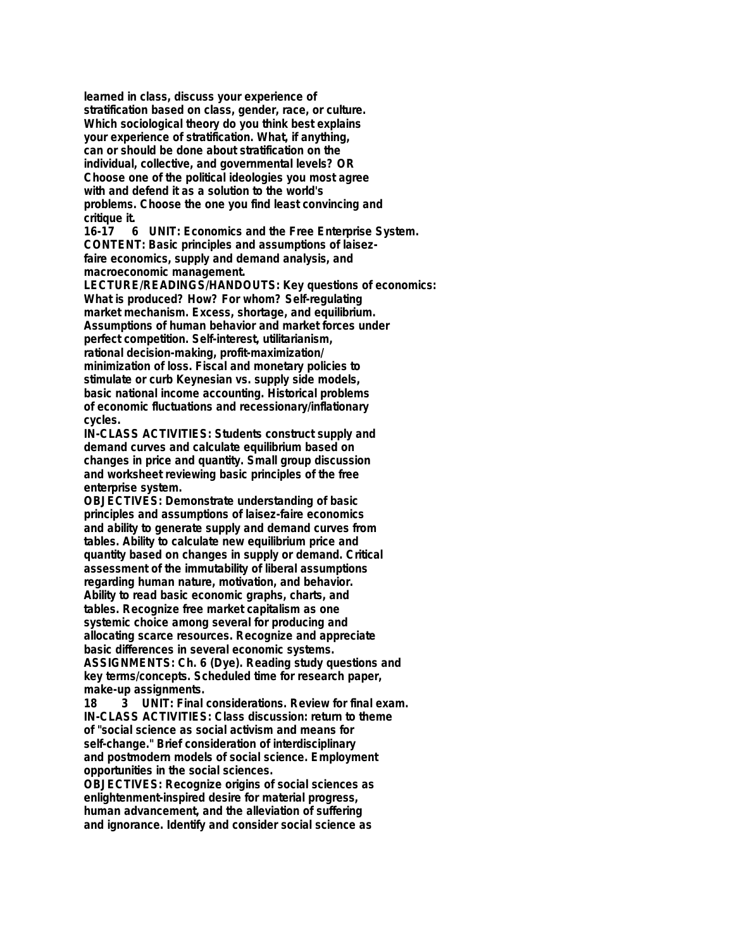**learned in class, discuss your experience of stratification based on class, gender, race, or culture. Which sociological theory do you think best explains your experience of stratification. What, if anything, can or should be done about stratification on the individual, collective, and governmental levels? OR Choose one of the political ideologies you most agree with and defend it as a solution to the world's problems. Choose the one you find least convincing and critique it.**

**16-17 6 UNIT: Economics and the Free Enterprise System. CONTENT: Basic principles and assumptions of laisezfaire economics, supply and demand analysis, and macroeconomic management.**

**LECTURE/READINGS/HANDOUTS: Key questions of economics: What is produced? How? For whom? Self-regulating market mechanism. Excess, shortage, and equilibrium. Assumptions of human behavior and market forces under perfect competition. Self-interest, utilitarianism, rational decision-making, profit-maximization/ minimization of loss. Fiscal and monetary policies to stimulate or curb Keynesian vs. supply side models, basic national income accounting. Historical problems of economic fluctuations and recessionary/inflationary cycles.**

**IN-CLASS ACTIVITIES: Students construct supply and demand curves and calculate equilibrium based on changes in price and quantity. Small group discussion and worksheet reviewing basic principles of the free enterprise system.**

**OBJECTIVES: Demonstrate understanding of basic principles and assumptions of laisez-faire economics and ability to generate supply and demand curves from tables. Ability to calculate new equilibrium price and quantity based on changes in supply or demand. Critical assessment of the immutability of liberal assumptions regarding human nature, motivation, and behavior. Ability to read basic economic graphs, charts, and tables. Recognize free market capitalism as one systemic choice among several for producing and allocating scarce resources. Recognize and appreciate basic differences in several economic systems. ASSIGNMENTS: Ch. 6 (Dye). Reading study questions and key terms/concepts. Scheduled time for research paper, make-up assignments.**

**18 3 UNIT: Final considerations. Review for final exam. IN-CLASS ACTIVITIES: Class discussion: return to theme of "social science as social activism and means for self-change." Brief consideration of interdisciplinary and postmodern models of social science. Employment opportunities in the social sciences.**

**OBJECTIVES: Recognize origins of social sciences as enlightenment-inspired desire for material progress, human advancement, and the alleviation of suffering and ignorance. Identify and consider social science as**